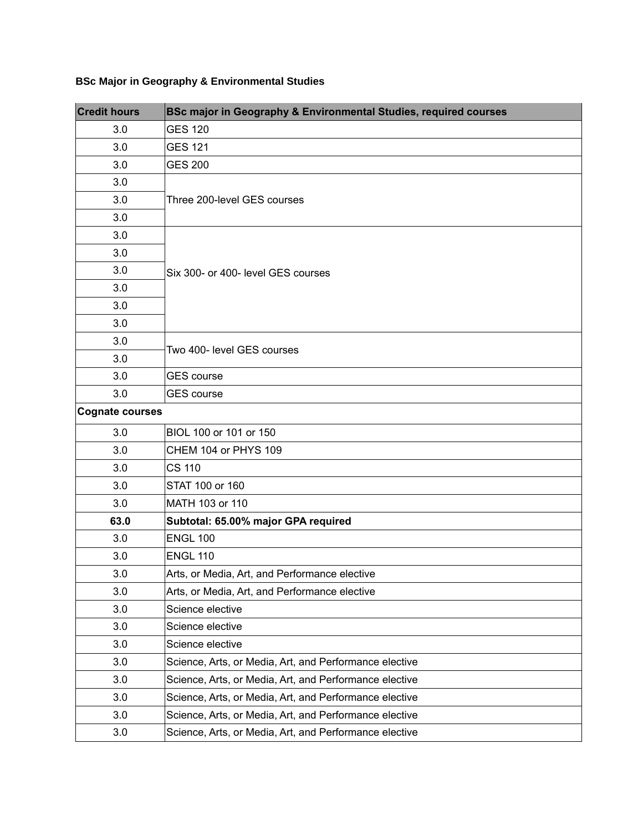## **BSc Major in Geography & Environmental Studies**

| <b>Credit hours</b>    | BSc major in Geography & Environmental Studies, required courses |
|------------------------|------------------------------------------------------------------|
| 3.0                    | <b>GES 120</b>                                                   |
| $3.0\,$                | <b>GES 121</b>                                                   |
| 3.0                    | <b>GES 200</b>                                                   |
| 3.0                    | Three 200-level GES courses                                      |
| 3.0                    |                                                                  |
| 3.0                    |                                                                  |
| 3.0                    | Six 300- or 400- level GES courses                               |
| 3.0                    |                                                                  |
| 3.0                    |                                                                  |
| 3.0                    |                                                                  |
| 3.0                    |                                                                  |
| 3.0                    |                                                                  |
| 3.0                    | Two 400- level GES courses                                       |
| 3.0                    |                                                                  |
| 3.0                    | <b>GES</b> course                                                |
| 3.0                    | <b>GES</b> course                                                |
| <b>Cognate courses</b> |                                                                  |
| 3.0                    | BIOL 100 or 101 or 150                                           |
| 3.0                    | CHEM 104 or PHYS 109                                             |
| 3.0                    | <b>CS 110</b>                                                    |
| 3.0                    | STAT 100 or 160                                                  |
| 3.0                    | MATH 103 or 110                                                  |
| 63.0                   | Subtotal: 65.00% major GPA required                              |
| 3.0                    | <b>ENGL 100</b>                                                  |
| $3.0\,$                | <b>ENGL 110</b>                                                  |
| 3.0                    | Arts, or Media, Art, and Performance elective                    |
| 3.0                    | Arts, or Media, Art, and Performance elective                    |
| 3.0                    | Science elective                                                 |
| 3.0                    | Science elective                                                 |
| 3.0                    | Science elective                                                 |
| 3.0                    | Science, Arts, or Media, Art, and Performance elective           |
| 3.0                    | Science, Arts, or Media, Art, and Performance elective           |
| 3.0                    | Science, Arts, or Media, Art, and Performance elective           |
| 3.0                    | Science, Arts, or Media, Art, and Performance elective           |
| 3.0                    | Science, Arts, or Media, Art, and Performance elective           |